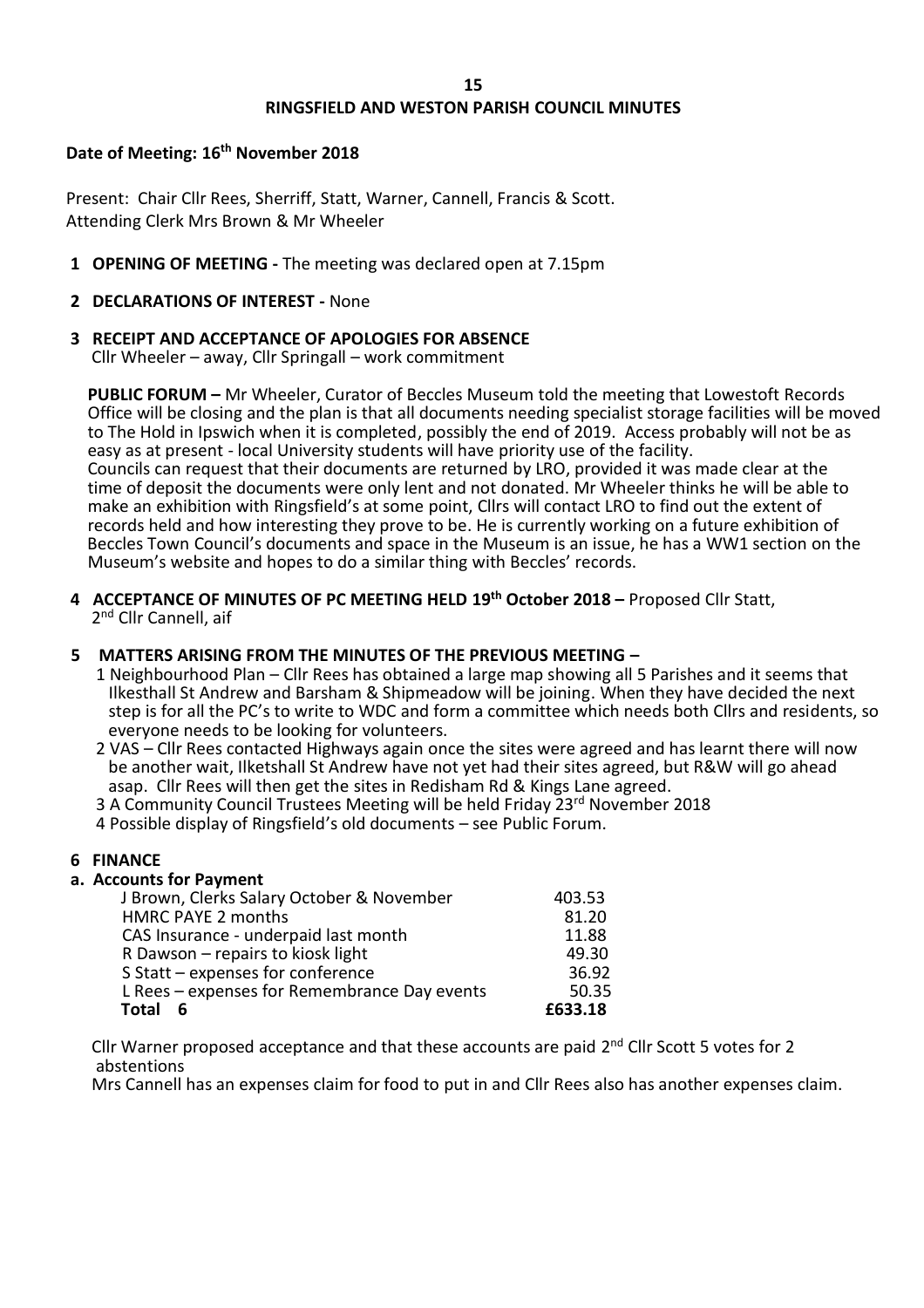## **RINGSFIELD AND WESTON PARISH COUNCIL MINUTES**

### **Date of Meeting: 16th November 2018**

Present: Chair Cllr Rees, Sherriff, Statt, Warner, Cannell, Francis & Scott. Attending Clerk Mrs Brown & Mr Wheeler

**1 OPENING OF MEETING -** The meeting was declared open at 7.15pm

### **2 DECLARATIONS OF INTEREST -** None

# **3 RECEIPT AND ACCEPTANCE OF APOLOGIES FOR ABSENCE**

Cllr Wheeler – away, Cllr Springall – work commitment

 **PUBLIC FORUM –** Mr Wheeler, Curator of Beccles Museum told the meeting that Lowestoft Records Office will be closing and the plan is that all documents needing specialist storage facilities will be moved to The Hold in Ipswich when it is completed, possibly the end of 2019. Access probably will not be as easy as at present - local University students will have priority use of the facility. Councils can request that their documents are returned by LRO, provided it was made clear at the time of deposit the documents were only lent and not donated. Mr Wheeler thinks he will be able to make an exhibition with Ringsfield's at some point, Cllrs will contact LRO to find out the extent of records held and how interesting they prove to be. He is currently working on a future exhibition of Beccles Town Council's documents and space in the Museum is an issue, he has a WW1 section on the

Museum's website and hopes to do a similar thing with Beccles' records.

**4 ACCEPTANCE OF MINUTES OF PC MEETING HELD 19th October 2018 –** Proposed Cllr Statt, 2<sup>nd</sup> Cllr Cannell, aif

### **5 MATTERS ARISING FROM THE MINUTES OF THE PREVIOUS MEETING –**

- 1 Neighbourhood Plan Cllr Rees has obtained a large map showing all 5 Parishes and it seems that Ilkesthall St Andrew and Barsham & Shipmeadow will be joining. When they have decided the next step is for all the PC's to write to WDC and form a committee which needs both Cllrs and residents, so everyone needs to be looking for volunteers.
- 2 VAS Cllr Rees contacted Highways again once the sites were agreed and has learnt there will now be another wait, Ilketshall St Andrew have not yet had their sites agreed, but R&W will go ahead asap. Cllr Rees will then get the sites in Redisham Rd & Kings Lane agreed.
- 3 A Community Council Trustees Meeting will be held Friday 23<sup>rd</sup> November 2018
- 4 Possible display of Ringsfield's old documents see Public Forum.

## **6 FINANCE**

## **a. Accounts for Payment**

| J Brown, Clerks Salary October & November    | 403.53  |
|----------------------------------------------|---------|
| HMRC PAYE 2 months                           | 81.20   |
| CAS Insurance - underpaid last month         | 11.88   |
| R Dawson - repairs to kiosk light            | 49.30   |
| S Statt - expenses for conference            | 36.92   |
| L Rees - expenses for Remembrance Day events | 50.35   |
| <b>Total</b><br>6                            | £633.18 |
|                                              |         |

Cllr Warner proposed acceptance and that these accounts are paid 2<sup>nd</sup> Cllr Scott 5 votes for 2 abstentions

Mrs Cannell has an expenses claim for food to put in and Cllr Rees also has another expenses claim.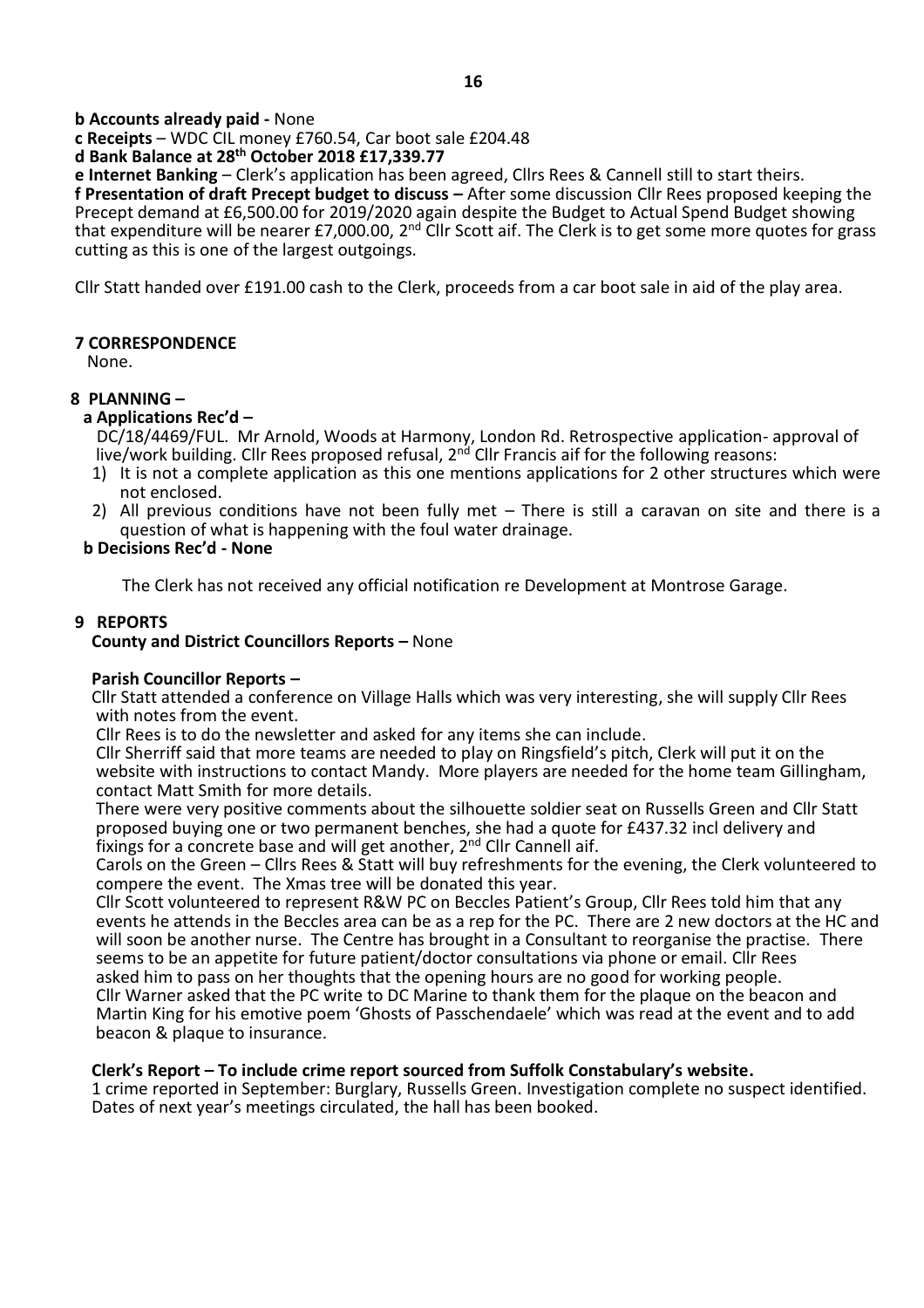### **b Accounts already paid -** None

 **c Receipts** – WDC CIL money £760.54, Car boot sale £204.48

### **d Bank Balance at 28th October 2018 £17,339.77**

 **e Internet Banking** – Clerk's application has been agreed, Cllrs Rees & Cannell still to start theirs.  **f Presentation of draft Precept budget to discuss –** After some discussion Cllr Rees proposed keeping the Precept demand at £6,500.00 for 2019/2020 again despite the Budget to Actual Spend Budget showing that expenditure will be nearer £7,000.00, 2<sup>nd</sup> Cllr Scott aif. The Clerk is to get some more quotes for grass cutting as this is one of the largest outgoings.

Cllr Statt handed over £191.00 cash to the Clerk, proceeds from a car boot sale in aid of the play area.

## **7 CORRESPONDENCE**

None.

## **8 PLANNING –**

## **a Applications Rec'd –**

 DC/18/4469/FUL. Mr Arnold, Woods at Harmony, London Rd. Retrospective application- approval of live/work building. Cllr Rees proposed refusal,  $2<sup>nd</sup>$  Cllr Francis aif for the following reasons:

- 1) It is not a complete application as this one mentions applications for 2 other structures which were not enclosed.
- 2) All previous conditions have not been fully met There is still a caravan on site and there is a question of what is happening with the foul water drainage.

### **b Decisions Rec'd - None**

The Clerk has not received any official notification re Development at Montrose Garage.

### **9 REPORTS**

### **County and District Councillors Reports –** None

#### **Parish Councillor Reports –**

 Cllr Statt attended a conference on Village Halls which was very interesting, she will supply Cllr Rees with notes from the event.

Cllr Rees is to do the newsletter and asked for any items she can include.

 Cllr Sherriff said that more teams are needed to play on Ringsfield's pitch, Clerk will put it on the website with instructions to contact Mandy. More players are needed for the home team Gillingham, contact Matt Smith for more details.

 There were very positive comments about the silhouette soldier seat on Russells Green and Cllr Statt proposed buying one or two permanent benches, she had a quote for £437.32 incl delivery and fixings for a concrete base and will get another, 2<sup>nd</sup> Cllr Cannell aif.

 Carols on the Green – Cllrs Rees & Statt will buy refreshments for the evening, the Clerk volunteered to compere the event. The Xmas tree will be donated this year.

 Cllr Scott volunteered to represent R&W PC on Beccles Patient's Group, Cllr Rees told him that any events he attends in the Beccles area can be as a rep for the PC. There are 2 new doctors at the HC and will soon be another nurse. The Centre has brought in a Consultant to reorganise the practise. There seems to be an appetite for future patient/doctor consultations via phone or email. Cllr Rees asked him to pass on her thoughts that the opening hours are no good for working people. Cllr Warner asked that the PC write to DC Marine to thank them for the plaque on the beacon and Martin King for his emotive poem 'Ghosts of Passchendaele' which was read at the event and to add beacon & plaque to insurance.

### **Clerk's Report – To include crime report sourced from Suffolk Constabulary's website.**

 1 crime reported in September: Burglary, Russells Green. Investigation complete no suspect identified. Dates of next year's meetings circulated, the hall has been booked.